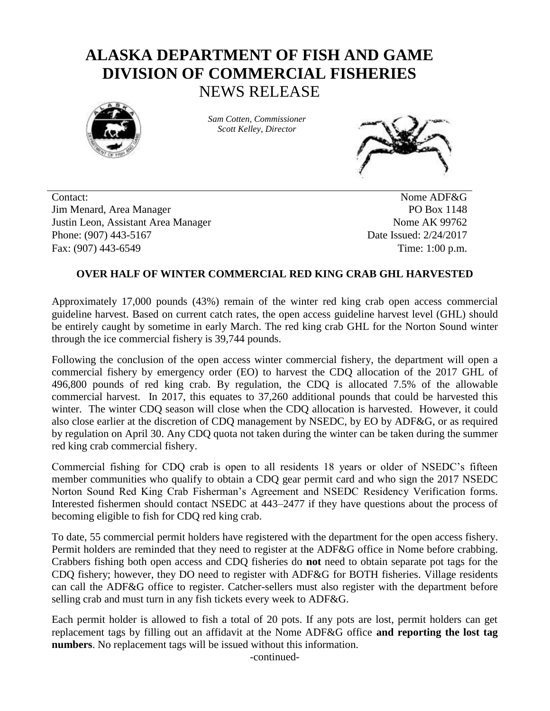## **ALASKA DEPARTMENT OF FISH AND GAME DIVISION OF COMMERCIAL FISHERIES** NEWS RELEASE



*Sam Cotten, Commissioner Scott Kelley, Director*



Contact: Nome ADF&G Jim Menard, Area Manager PO Box 1148 Justin Leon, Assistant Area Manager Nome AK 99762 Phone: (907) 443-5167 Date Issued: 2/24/2017 Fax: (907) 443-6549 Time: 1:00 p.m.

## **OVER HALF OF WINTER COMMERCIAL RED KING CRAB GHL HARVESTED**

Approximately 17,000 pounds (43%) remain of the winter red king crab open access commercial guideline harvest. Based on current catch rates, the open access guideline harvest level (GHL) should be entirely caught by sometime in early March. The red king crab GHL for the Norton Sound winter through the ice commercial fishery is 39,744 pounds.

Following the conclusion of the open access winter commercial fishery, the department will open a commercial fishery by emergency order (EO) to harvest the CDQ allocation of the 2017 GHL of 496,800 pounds of red king crab. By regulation, the CDQ is allocated 7.5% of the allowable commercial harvest. In 2017, this equates to 37,260 additional pounds that could be harvested this winter. The winter CDQ season will close when the CDQ allocation is harvested. However, it could also close earlier at the discretion of CDQ management by NSEDC, by EO by ADF&G, or as required by regulation on April 30. Any CDQ quota not taken during the winter can be taken during the summer red king crab commercial fishery.

Commercial fishing for CDQ crab is open to all residents 18 years or older of NSEDC's fifteen member communities who qualify to obtain a CDQ gear permit card and who sign the 2017 NSEDC Norton Sound Red King Crab Fisherman's Agreement and NSEDC Residency Verification forms. Interested fishermen should contact NSEDC at 443–2477 if they have questions about the process of becoming eligible to fish for CDQ red king crab.

To date, 55 commercial permit holders have registered with the department for the open access fishery. Permit holders are reminded that they need to register at the ADF&G office in Nome before crabbing. Crabbers fishing both open access and CDQ fisheries do **not** need to obtain separate pot tags for the CDQ fishery; however, they DO need to register with ADF&G for BOTH fisheries. Village residents can call the ADF&G office to register. Catcher-sellers must also register with the department before selling crab and must turn in any fish tickets every week to ADF&G.

Each permit holder is allowed to fish a total of 20 pots. If any pots are lost, permit holders can get replacement tags by filling out an affidavit at the Nome ADF&G office **and reporting the lost tag numbers**. No replacement tags will be issued without this information.

-continued-